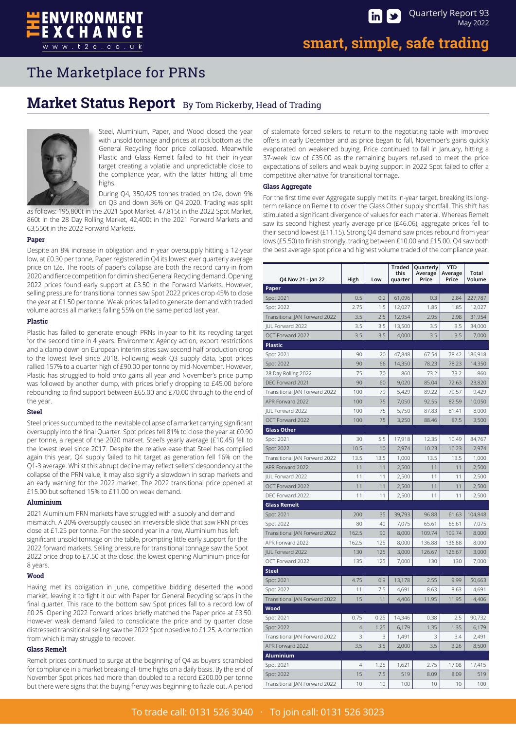ENVIRONMENT

### **Market Status Report** By Tom Rickerby, Head of Trading



Steel, Aluminium, Paper, and Wood closed the year with unsold tonnage and prices at rock bottom as the General Recycling floor price collapsed. Meanwhile Plastic and Glass Remelt failed to hit their in-year target creating a volatile and unpredictable close to the compliance year, with the latter hitting all time highs.

During Q4, 350,425 tonnes traded on t2e, down 9%

on Q3 and down 36% on Q4 2020. Trading was split as follows: 195,800t in the 2021 Spot Market. 47,815t in the 2022 Spot Market, 860t in the 28 Day Rolling Market, 42,400t in the 2021 Forward Markets and 63,550t in the 2022 Forward Markets.

### **Paper**

Despite an 8% increase in obligation and in-year oversupply hitting a 12-year low, at £0.30 per tonne, Paper registered in Q4 its lowest ever quarterly average price on t2e. The roots of paper's collapse are both the record carry-in from 2020 and fierce competition for diminished General Recycling demand. Opening 2022 prices found early support at £3.50 in the Forward Markets. However, selling pressure for transitional tonnes saw Spot 2022 prices drop 45% to close the year at £1.50 per tonne. Weak prices failed to generate demand with traded volume across all markets falling 55% on the same period last year.

### **Plastic**

Plastic has failed to generate enough PRNs in-year to hit its recycling target for the second time in 4 years. Environment Agency action, export restrictions and a clamp down on European interim sites saw second half production drop to the lowest level since 2018. Following weak Q3 supply data, Spot prices rallied 157% to a quarter high of £90.00 per tonne by mid-November. However, Plastic has struggled to hold onto gains all year and November's price pump was followed by another dump, with prices briefly dropping to £45.00 before rebounding to find support between £65.00 and £70.00 through to the end of the year.

### **Steel**

Steel prices succumbed to the inevitable collapse of a market carrying significant oversupply into the final Quarter. Spot prices fell 81% to close the year at £0.90 per tonne, a repeat of the 2020 market. Steel's yearly average (£10.45) fell to the lowest level since 2017. Despite the relative ease that Steel has complied again this year, Q4 supply failed to hit target as generation fell 16% on the Q1-3 average. Whilst this abrupt decline may reflect sellers' despondency at the collapse of the PRN value, it may also signify a slowdown in scrap markets and an early warning for the 2022 market. The 2022 transitional price opened at £15.00 but softened 15% to £11.00 on weak demand.

### **Aluminium**

2021 Aluminium PRN markets have struggled with a supply and demand mismatch. A 20% oversupply caused an irreversible slide that saw PRN prices close at £1.25 per tonne. For the second year in a row, Aluminium has left significant unsold tonnage on the table, prompting little early support for the 2022 forward markets. Selling pressure for transitional tonnage saw the Spot 2022 price drop to £7.50 at the close, the lowest opening Aluminium price for 8 years.

### **Wood**

Having met its obligation in June, competitive bidding deserted the wood market, leaving it to fight it out with Paper for General Recycling scraps in the final quarter. This race to the bottom saw Spot prices fall to a record low of £0.25. Opening 2022 Forward prices briefly matched the Paper price at £3.50. However weak demand failed to consolidate the price and by quarter close distressed transitional selling saw the 2022 Spot nosedive to £1.25. A correction from which it may struggle to recover.

### **Glass Remelt**

Remelt prices continued to surge at the beginning of Q4 as buyers scrambled for compliance in a market breaking all-time highs on a daily basis. By the end of November Spot prices had more than doubled to a record £200.00 per tonne but there were signs that the buying frenzy was beginning to fizzle out. A period

of stalemate forced sellers to return to the negotiating table with improved offers in early December and as price began to fall, November's gains quickly evaporated on weakened buying. Price continued to fall in January, hitting a 37-week low of £35.00 as the remaining buyers refused to meet the price expectations of sellers and weak buying support in 2022 Spot failed to offer a competitive alternative for transitional tonnage.

### **Glass Aggregate**

For the first time ever Aggregate supply met its in-year target, breaking its longterm reliance on Remelt to cover the Glass Other supply shortfall. This shift has stimulated a significant divergence of values for each material. Whereas Remelt saw its second highest yearly average price (£46.06), aggregate prices fell to their second lowest (£11.15). Strong Q4 demand saw prices rebound from year lows (£5.50) to finish strongly, trading between £10.00 and £15.00. Q4 saw both the best average spot price and highest volume traded of the compliance year.

| Q4 Nov 21 - Jan 22            | High           | Low  | <b>Traded</b><br>this<br>quarter | Quarterly<br>Average<br>Price | <b>YTD</b><br>Average<br>Price | Total<br>Volume |
|-------------------------------|----------------|------|----------------------------------|-------------------------------|--------------------------------|-----------------|
| Paper                         |                |      |                                  |                               |                                |                 |
| <b>Spot 2021</b>              | 0.5            | 0.2  | 61,096                           | 0.3                           | 2.84                           | 227,787         |
| Spot 2022                     | 2.75           | 1.5  | 12,027                           | 1.85                          | 1.85                           | 12,027          |
| Transitional JAN Forward 2022 | 3.5            | 2.5  | 12,954                           | 2.95                          | 2.98                           | 31,954          |
| <b>IUL Forward 2022</b>       | 3.5            | 3.5  | 13,500                           | 3.5                           | 3.5                            | 34,000          |
| OCT Forward 2022              | 3.5            | 3.5  | 4,000                            | 3.5                           | 3.5                            | 7,000           |
| <b>Plastic</b>                |                |      |                                  |                               |                                |                 |
| Spot 2021                     | 90             | 20   | 47,848                           | 67.54                         | 78.42                          | 186,918         |
| <b>Spot 2022</b>              | 90             | 66   | 14,350                           | 78.23                         | 78.23                          | 14,350          |
| 28 Day Rolling 2022           | 75             | 70   | 860                              | 73.2                          | 73.2                           | 860             |
| DEC Forward 2021              | 90             | 60   | 9,020                            | 85.04                         | 72.63                          | 23,820          |
| Transitional JAN Forward 2022 | 100            | 79   | 5,429                            | 89.22                         | 79.57                          | 9,429           |
| APR Forward 2022              | 100            | 75   | 7,050                            | 92.55                         | 82.59                          | 10,050          |
| JUL Forward 2022              | 100            | 75   | 5,750                            | 87.83                         | 81.41                          | 8,000           |
| OCT Forward 2022              | 100            | 75   | 3.250                            | 88.46                         | 87.5                           | 3,500           |
| <b>Glass Other</b>            |                |      |                                  |                               |                                |                 |
| Spot 2021                     | 30             | 5.5  | 17,918                           | 12.35                         | 10.49                          | 84,767          |
| <b>Spot 2022</b>              | 10.5           | 10   | 2,974                            | 10.23                         | 10.23                          | 2,974           |
| Transitional JAN Forward 2022 | 13.5           | 13.5 | 1,000                            | 13.5                          | 13.5                           | 1,000           |
| APR Forward 2022              | 11             | 11   | 2,500                            | 11                            | 11                             | 2,500           |
| <b>IUL Forward 2022</b>       | 11             | 11   | 2,500                            | 11                            | 11                             | 2,500           |
| OCT Forward 2022              | 11             | 11   | 2,500                            | 11                            | 11                             | 2,500           |
| DEC Forward 2022              | 11             | 11   | 2,500                            | 11                            | 11                             | 2,500           |
| <b>Glass Remelt</b>           |                |      |                                  |                               |                                |                 |
| Spot 2021                     | 200            | 35   | 39,793                           | 96.88                         | 61.63                          | 104,848         |
| <b>Spot 2022</b>              | 80             | 40   | 7.075                            | 65.61                         | 65.61                          | 7.075           |
| Transitional JAN Forward 2022 | 162.5          | 90   | 8,000                            | 109.74                        | 109.74                         | 8,000           |
| APR Forward 2022              | 162.5          | 125  | 8,000                            | 136.88                        | 136.88                         | 8,000           |
| JUL Forward 2022              | 130            | 125  | 3,000                            | 126.67                        | 126.67                         | 3,000           |
| OCT Forward 2022              | 135            | 125  | 7,000                            | 130                           | 130                            | 7,000           |
| <b>Steel</b>                  |                |      |                                  |                               |                                |                 |
| Spot 2021                     | 4.75           | 0.9  | 13,178                           | 2.55                          | 9.99                           | 50,663          |
| <b>Spot 2022</b>              | 11             | 7.5  | 4,691                            | 8.63                          | 8.63                           | 4,691           |
| Transitional JAN Forward 2022 | 15             | 11   | 4,406                            | 11.95                         | 11.95                          | 4,406           |
| Wood                          |                |      |                                  |                               |                                |                 |
| Spot 2021                     | 0.75           | 0.25 | 14,346                           | 0.38                          | 2.5                            | 90,732          |
| <b>Spot 2022</b>              | $\overline{4}$ | 1.25 | 6,179                            | 1.35                          | 1.35                           | 6,179           |
| Transitional JAN Forward 2022 | 3              | 3    | 1,491                            | 3                             | 3.4                            | 2,491           |
| APR Forward 2022              | 3.5            | 3.5  | 2,000                            | 3.5                           | 3.26                           | 8,500           |
| <b>Aluminium</b>              |                |      |                                  |                               |                                |                 |
| Spot 2021                     | 4              | 1.25 | 1,621                            | 2.75                          | 17.08                          | 17,415          |
| <b>Spot 2022</b>              | 15             | 7.5  | 519                              | 8.09                          | 8.09                           | 519             |
| Transitional JAN Forward 2022 | 10             | 10   | 100                              | 10                            | 10                             | 100             |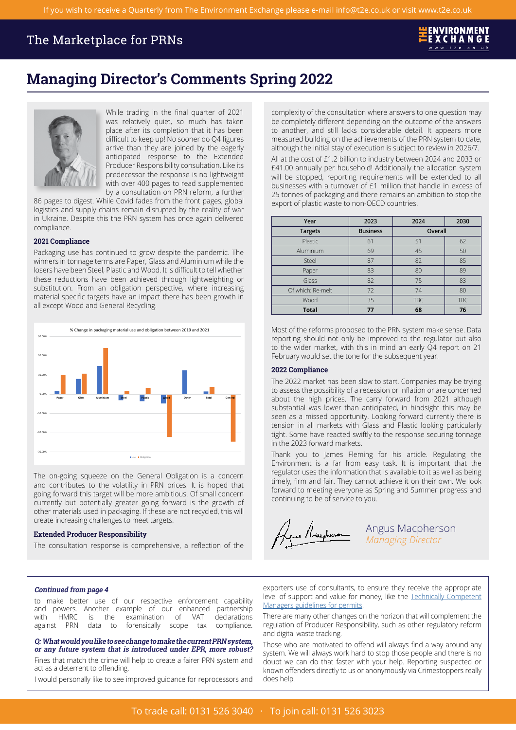# **Managing Director's Comments Spring 2022**



While trading in the final quarter of 2021 was relatively quiet, so much has taken place after its completion that it has been difficult to keep up! No sooner do Q4 figures arrive than they are joined by the eagerly anticipated response to the Extended Producer Responsibility consultation. Like its predecessor the response is no lightweight with over 400 pages to read supplemented by a consultation on PRN reform, a further

86 pages to digest. While Covid fades from the front pages, global logistics and supply chains remain disrupted by the reality of war in Ukraine. Despite this the PRN system has once again delivered compliance.

### **2021 Compliance**

Packaging use has continued to grow despite the pandemic. The winners in tonnage terms are Paper, Glass and Aluminium while the losers have been Steel, Plastic and Wood. It is difficult to tell whether these reductions have been achieved through lightweighting or substitution. From an obligation perspective, where increasing material specific targets have an impact there has been growth in all except Wood and General Recycling.



The on-going squeeze on the General Obligation is a concern and contributes to the volatility in PRN prices. It is hoped that going forward this target will be more ambitious. Of small concern currently but potentially greater going forward is the growth of other materials used in packaging. If these are not recycled, this will create increasing challenges to meet targets.

### **Extended Producer Responsibility**

The consultation response is comprehensive, a reflection of the

complexity of the consultation where answers to one question may be completely different depending on the outcome of the answers to another, and still lacks considerable detail. It appears more measured building on the achievements of the PRN system to date, although the initial stay of execution is subject to review in 2026/7.

All at the cost of £1.2 billion to industry between 2024 and 2033 or £41.00 annually per household! Additionally the allocation system will be stopped, reporting requirements will be extended to all businesses with a turnover of £1 million that handle in excess of 25 tonnes of packaging and there remains an ambition to stop the export of plastic waste to non-OECD countries.

| Year              | 2023            | 2024       | 2030       |
|-------------------|-----------------|------------|------------|
| <b>Targets</b>    | <b>Business</b> | Overall    |            |
| Plastic           | 61              | 51         | 62         |
| Aluminium         | 69              | 45         | 50         |
| Steel             | 87              | 82         | 85         |
| Paper             | 83              | 80         | 89         |
| Glass             | 82              | 75         | 83         |
| Of which: Re-melt | 72              | 74         | 80         |
| Wood              | 35              | <b>TBC</b> | <b>TBC</b> |
| <b>Total</b>      |                 | 68         | 76         |

Most of the reforms proposed to the PRN system make sense. Data reporting should not only be improved to the regulator but also to the wider market, with this in mind an early Q4 report on 21 February would set the tone for the subsequent year.

### **2022 Compliance**

The 2022 market has been slow to start. Companies may be trying to assess the possibility of a recession or inflation or are concerned about the high prices. The carry forward from 2021 although substantial was lower than anticipated, in hindsight this may be seen as a missed opportunity. Looking forward currently there is tension in all markets with Glass and Plastic looking particularly tight. Some have reacted swiftly to the response securing tonnage in the 2023 forward markets.

Thank you to James Fleming for his article. Regulating the Environment is a far from easy task. It is important that the regulator uses the information that is available to it as well as being timely, firm and fair. They cannot achieve it on their own. We look forward to meeting everyone as Spring and Summer progress and continuing to be of service to you.

yn /lughwan

Angus Macpherson *Managing Director* 

### **Continued from page 4**

to make better use of our respective enforcement capability and powers. Another example of our enhanced partnership with HMRC is the examination of VAT declarations against PRN data to forensically scope tax compliance.

**Q: What would you like to see change to make the current PRN system, or any future system that is introduced under EPR, more robust?**

I would personally like to see improved guidance for reprocessors and does help.

exporters use of consultants, to ensure they receive the appropriate level of support and value for money, like the [Technically Competent](https://eur03.safelinks.protection.outlook.com/?url=https%3A%2F%2Fwww.gov.uk%2Fguidance%2Flegal-operator-and-competence-requirements-environmental-permits&data=04%7C01%7Cclare.baldock%40environment-agency.gov.uk%7C46c512e5c37d44fd035708da05b1f261%7C770a245002274c6290c74e38537f1102%7C0%7C0%7C637828559080281382%7CUnknown%7CTWFpbGZsb3d8eyJWIjoiMC4wLjAwMDAiLCJQIjoiV2luMzIiLCJBTiI6Ik1haWwiLCJXVCI6Mn0%3D%7C3000&sdata=meG0ae%2BeunWZDXTFeGKBm2jfFOuiXK8MHqxzZS27MzE%3D&reserved=0)  [Managers guidelines for permits](https://eur03.safelinks.protection.outlook.com/?url=https%3A%2F%2Fwww.gov.uk%2Fguidance%2Flegal-operator-and-competence-requirements-environmental-permits&data=04%7C01%7Cclare.baldock%40environment-agency.gov.uk%7C46c512e5c37d44fd035708da05b1f261%7C770a245002274c6290c74e38537f1102%7C0%7C0%7C637828559080281382%7CUnknown%7CTWFpbGZsb3d8eyJWIjoiMC4wLjAwMDAiLCJQIjoiV2luMzIiLCJBTiI6Ik1haWwiLCJXVCI6Mn0%3D%7C3000&sdata=meG0ae%2BeunWZDXTFeGKBm2jfFOuiXK8MHqxzZS27MzE%3D&reserved=0).

There are many other changes on the horizon that will complement the regulation of Producer Responsibility, such as other regulatory reform and digital waste tracking.

Those who are motivated to offend will always find a way around any or any rature system that is informed the EFR, more robust:<br>Fines that match the crime will help to create a fairer PRN system and<br>act as a deterrent to offending.<br>Rown offenders directly to us or anonymously via Crimestop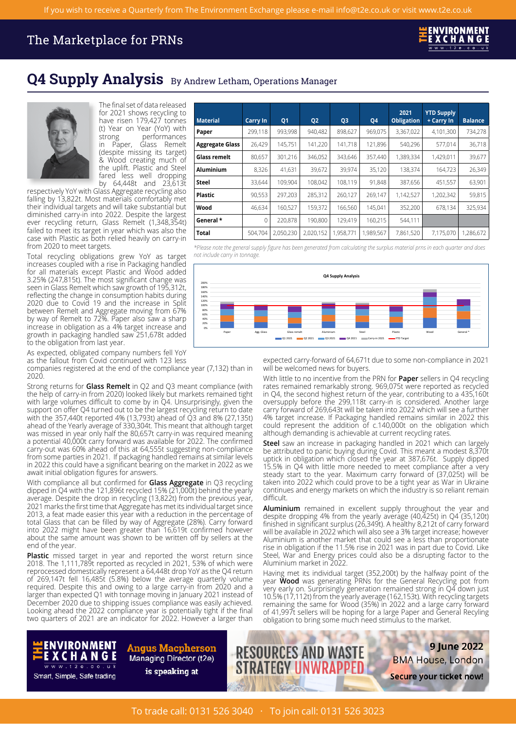

## **Q4 Supply Analysis** By Andrew Letham, Operations Manager



The final set of data released for 2021 shows recycling to have risen 179,427 tonnes (t) Year on Year (YoY) with ong performances<br>Paper, Glass Remelt in Paper, Glass Remelt (despite missing its target) & Wood creating much of the uplift. Plastic and Steel fared less well dropping by 64,448t and 23,613t

respectively YoY with Glass Aggregate recycling also falling by 13,822t. Most materials comfortably met their individual targets and will take substantial but diminished carry-in into 2022. Despite the largest ever recycling return, Glass Remelt (1,348,354t) failed to meet its target in year which was also the case with Plastic as both relied heavily on carry-in from 2020 to meet targets.

Total recycling obligations grew YoY as target increases coupled with a rise in Packaging handled for all materials except Plastic and Wood added 3.25% (247,815t). The most significant change was seen in Glass Remelt which saw growth of 195,312t, reflecting the change in consumption habits during 2020 due to Covid 19 and the increase in Split between Remelt and Aggregate moving from 67% by way of Remelt to 72%. Paper also saw a sharp increase in obligation as a 4% target increase and growth in packaging handled saw 251,678t added to the obligation from last year.

As expected, obligated company numbers fell YoY as the fallout from Covid continued with 123 less

companies registered at the end of the compliance year (7,132) than in 2020.

support on offer Q4 turned out to be the largest recycling return to date carry forward of 269,643t will be taken into 2022 which will see a further<br>with the 357,440t reported 4% (13,793t) ahead of Q3 and 8% (27,135t) 4% t was missed in year only half the 80,657t carry-in was required meaning although demanding is achievable at current recycling rates.

dipped in Q4 with the 121,896t recycled 15% (21,000t) behind the yearly continuation average. Despite the drop in recycling (13,822t) from the previous year, difficult. average. Despite the drop in recycling (13,822t) from the previous year, 2021 marks the first time that Aggregate has met its individual target since 2013, a feat made easier this year with a reduction in the percentage of

Plastic missed target in year and reported the worst return since 2018. The 1,111,789t reported as recycled in 2021, 53% of which were reprocessed domestically represent a 64,448t drop YoY as the Q4 return reprocessed domestically represent a 64,448t drop YoY as the Q4 return<br>of 269,147t fell 16,485t (5.8%) below the average quarterly volume<br>required. Despite this and owing to a large carry-in from 2020 and a<br>required. Despi

| <b>Material</b>        | <b>Carry In</b> | <b>Q1</b> | <b>Q2</b> | Q <sub>3</sub> | Q4        | 2021<br>Obligation | <b>YTD Supply</b><br>+ Carry In | <b>Balance</b> |
|------------------------|-----------------|-----------|-----------|----------------|-----------|--------------------|---------------------------------|----------------|
| Paper                  | 299.118         | 993,998   | 940,482   | 898,627        | 969,075   | 3,367,022          | 4,101,300                       | 734,278        |
| <b>Aggregate Glass</b> | 26,429          | 145,751   | 141,220   | 141,718        | 121,896   | 540,296            | 577.014                         | 36,718         |
| Glass remelt           | 80,657          | 301,216   | 346,052   | 343,646        | 357,440   | 1,389,334          | 1,429,011                       | 39,677         |
| <b>Aluminium</b>       | 8,326           | 41.631    | 39.672    | 39.974         | 35,120    | 138,374            | 164.723                         | 26,349         |
| <b>Steel</b>           | 33,644          | 109,904   | 108,042   | 108,119        | 91,848    | 387,656            | 451,557                         | 63,901         |
| <b>Plastic</b>         | 90,553          | 297,203   | 285,312   | 260,127        | 269,147   | 1,142,527          | 1,202,342                       | 59,815         |
| Wood                   | 46,634          | 160,527   | 159,372   | 166,560        | 145,041   | 352,200            | 678.134                         | 325,934        |
| General *              | 0               | 220,878   | 190.800   | 129,419        | 160,215   | 544,111            |                                 |                |
| Total                  | 504.704         | 2,050,230 | 2,020,152 | 1,958,771      | 1,989,567 | 7,861,520          | 7,175,070                       | 1,286,672      |

\*Please note the general supply figure has been generated from calculating the surplus material prns in each quarter and does *not include carry in tonnage.* 



expected carry-forward of 64,671t due to some non-compliance in 2021

With little to no incentive from the PRN for **Paper** sellers in Q4 recycling<br>rates remained remarkably strong. 969,075t were reported as recycled Strong returns for **Glass Remelt** in Q2 and Q3 meant compliance (with rates remained remarkably strong. 969,075t were reported as recycled<br>the help of carry-in from 2020) looked likely but markets remained tight in Q4, the the help of carry-in from 2020) looked likely but markets remained tight in Q4, the second highest return of the year, contributing to a 435,160t with large volumes difficult to come by in Q4. Unsurprisingly, given the oversupply before the 299,118t carry-in is considered. Another large 4% target increase. If Packaging handled remains similar in 2022 this could represent the addition of c.140,000t on the obligation which ahead of the Yearly average of 330,304t. This meant that although target could represent the addition of c.140,000t on the obligation which

a potential 40,000t carry forward was available for 2022. The confirmed<br>carry-out was 60% ahead of this at 64,555t suggesting non-compliance<br>from some parties in 2021. If packaging handled remains at similar levels<br>in 2022 With compliance all but confirmed for **Glass Aggregate** in Q3 recycling taken into 2022 which could prove to be a tight year as War in Ukraine<br>dipped in Q4 with the 121,896t recycled 15% (21,000t) behind the yearly continu

2021 marks the first time that Aggregate has met its individual target since<br>2013, a feat made easier this year with a reduction in the percentage of<br>2013, a feat made easier this year with a reduction in the percentage of Steel, War and Energy prices could also be a disrupting factor to the Aluminium market in 2022.

December 2020 due to shipping issues compilance was easily achieved. The remaining the same for Wood (35%) in 2022 and a large carry forward<br>Looking ahead the 2022 compliance year is potentially tight if the final The fina

9 June 2022

**BMA House, London** 

Secure your ticket now!



**Angus Macpherson** Managing Director (t2e) is speaking at



**RESOURCES AND WASTE** 

**RATEGY UNWRA**